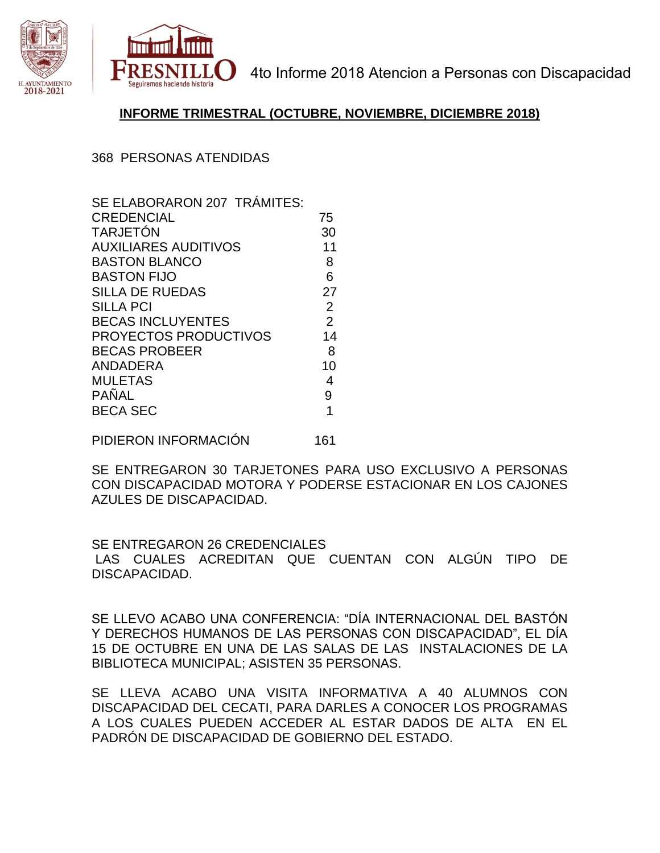



4to Informe 2018 Atencion a Personas con Discapacidad

## **INFORME TRIMESTRAL (OCTUBRE, NOVIEMBRE, DICIEMBRE 2018)**

368 PERSONAS ATENDIDAS

| SE ELABORARON 207 TRÁMITES: |                |
|-----------------------------|----------------|
| <b>CREDENCIAL</b>           | 75             |
| <b>TARJETÓN</b>             | 30             |
| <b>AUXILIARES AUDITIVOS</b> | 11             |
| <b>BASTON BLANCO</b>        | 8              |
| <b>BASTON FIJO</b>          | 6              |
| <b>SILLA DE RUEDAS</b>      | 27             |
| <b>SILLA PCI</b>            | $\overline{2}$ |
| <b>BECAS INCLUYENTES</b>    | $\overline{2}$ |
| PROYECTOS PRODUCTIVOS       | 14             |
| <b>BECAS PROBEER</b>        | 8              |
| ANDADERA                    | 10             |
| <b>MULETAS</b>              | 4              |
| PAÑAL                       | 9              |
| <b>BECA SEC</b>             | 1              |
|                             |                |
| $\mathbf{r}$                |                |

PIDIERON INFORMACIÓN 161

SE ENTREGARON 30 TARJETONES PARA USO EXCLUSIVO A PERSONAS CON DISCAPACIDAD MOTORA Y PODERSE ESTACIONAR EN LOS CAJONES AZULES DE DISCAPACIDAD.

## SE ENTREGARON 26 CREDENCIALES

LAS CUALES ACREDITAN QUE CUENTAN CON ALGÚN TIPO DE DISCAPACIDAD.

SE LLEVO ACABO UNA CONFERENCIA: "DÍA INTERNACIONAL DEL BASTÓN Y DERECHOS HUMANOS DE LAS PERSONAS CON DISCAPACIDAD", EL DÍA 15 DE OCTUBRE EN UNA DE LAS SALAS DE LAS INSTALACIONES DE LA BIBLIOTECA MUNICIPAL; ASISTEN 35 PERSONAS.

SE LLEVA ACABO UNA VISITA INFORMATIVA A 40 ALUMNOS CON DISCAPACIDAD DEL CECATI, PARA DARLES A CONOCER LOS PROGRAMAS A LOS CUALES PUEDEN ACCEDER AL ESTAR DADOS DE ALTA EN EL PADRÓN DE DISCAPACIDAD DE GOBIERNO DEL ESTADO.